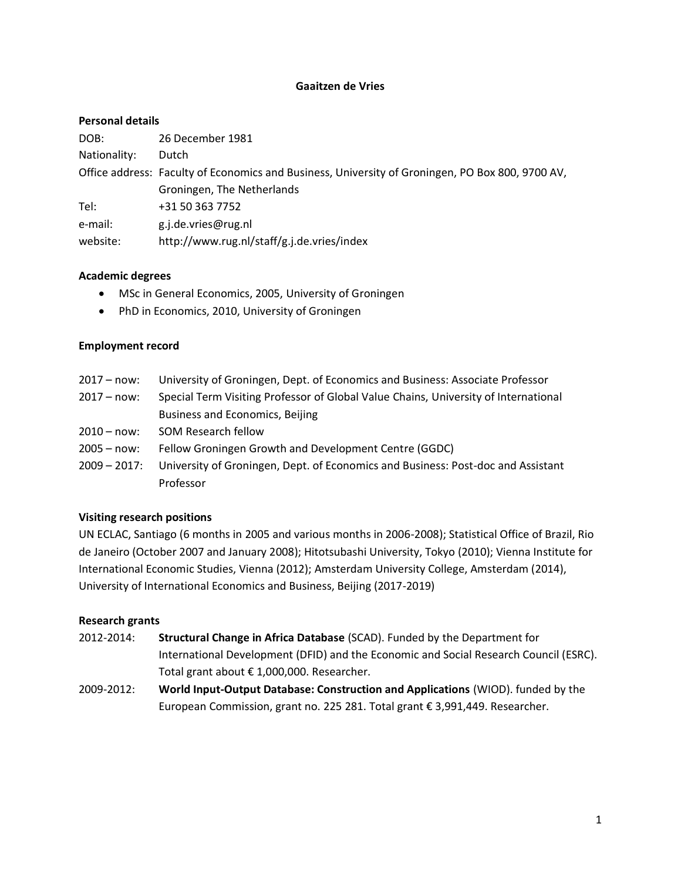## **Gaaitzen de Vries**

#### **Personal details**

| DOB:         | 26 December 1981                                                                                 |
|--------------|--------------------------------------------------------------------------------------------------|
| Nationality: | Dutch                                                                                            |
|              | Office address: Faculty of Economics and Business, University of Groningen, PO Box 800, 9700 AV, |
|              | Groningen, The Netherlands                                                                       |
| Tel:         | +31 50 363 7752                                                                                  |
| e-mail:      | g.j.de.vries@rug.nl                                                                              |
| website:     | http://www.rug.nl/staff/g.j.de.vries/index                                                       |

#### **Academic degrees**

- MSc in General Economics, 2005, University of Groningen
- PhD in Economics, 2010, University of Groningen

#### **Employment record**

- 2017 now: University of Groningen, Dept. of Economics and Business: Associate Professor
- 2017 now: Special Term Visiting Professor of Global Value Chains, University of International Business and Economics, Beijing
- 2010 now: SOM Research fellow
- 2005 now: Fellow Groningen Growth and Development Centre (GGDC)
- 2009 2017: University of Groningen, Dept. of Economics and Business: Post-doc and Assistant Professor

# **Visiting research positions**

UN ECLAC, Santiago (6 months in 2005 and various months in 2006-2008); Statistical Office of Brazil, Rio de Janeiro (October 2007 and January 2008); Hitotsubashi University, Tokyo (2010); Vienna Institute for International Economic Studies, Vienna (2012); Amsterdam University College, Amsterdam (2014), University of International Economics and Business, Beijing (2017-2019)

# **Research grants**

- 2012-2014: **Structural Change in Africa Database** (SCAD). Funded by the Department for International Development (DFID) and the Economic and Social Research Council (ESRC). Total grant about € 1,000,000. Researcher.
- 2009-2012: **World Input-Output Database: Construction and Applications** (WIOD). funded by the European Commission, grant no. 225 281. Total grant € 3,991,449. Researcher.